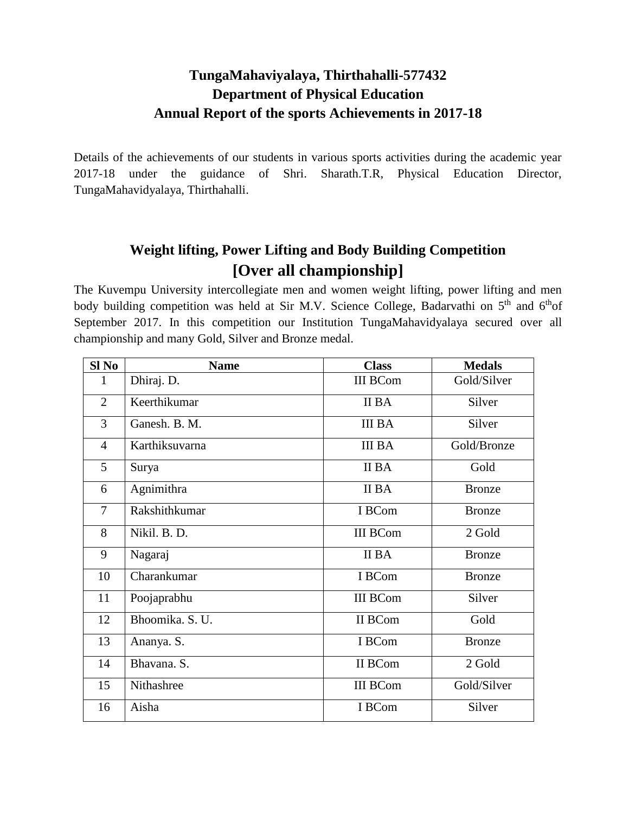### **TungaMahaviyalaya, Thirthahalli-577432 Department of Physical Education Annual Report of the sports Achievements in 2017-18**

Details of the achievements of our students in various sports activities during the academic year 2017-18 under the guidance of Shri. Sharath.T.R, Physical Education Director, TungaMahavidyalaya, Thirthahalli.

# **Weight lifting, Power Lifting and Body Building Competition [Over all championship]**

The Kuvempu University intercollegiate men and women weight lifting, power lifting and men body building competition was held at Sir M.V. Science College, Badarvathi on 5<sup>th</sup> and 6<sup>th</sup>of September 2017. In this competition our Institution TungaMahavidyalaya secured over all championship and many Gold, Silver and Bronze medal.

| Sl No          | <b>Name</b>     | <b>Class</b>    | <b>Medals</b> |
|----------------|-----------------|-----------------|---------------|
| 1              | Dhiraj. D.      | <b>III BCom</b> | Gold/Silver   |
| $\overline{2}$ | Keerthikumar    | II BA           | Silver        |
| 3              | Ganesh. B. M.   | <b>III BA</b>   | Silver        |
| $\overline{4}$ | Karthiksuvarna  | <b>III BA</b>   | Gold/Bronze   |
| 5              | Surya           | II BA           | Gold          |
| 6              | Agnimithra      | II BA           | <b>Bronze</b> |
| $\overline{7}$ | Rakshithkumar   | I BCom          | <b>Bronze</b> |
| 8              | Nikil. B. D.    | <b>III BCom</b> | 2 Gold        |
| 9              | Nagaraj         | II BA           | <b>Bronze</b> |
| 10             | Charankumar     | I BCom          | <b>Bronze</b> |
| 11             | Poojaprabhu     | <b>III BCom</b> | Silver        |
| 12             | Bhoomika. S. U. | II BCom         | Gold          |
| 13             | Ananya. S.      | I BCom          | <b>Bronze</b> |
| 14             | Bhavana. S.     | II BCom         | 2 Gold        |
| 15             | Nithashree      | <b>III BCom</b> | Gold/Silver   |
| 16             | Aisha           | I BCom          | Silver        |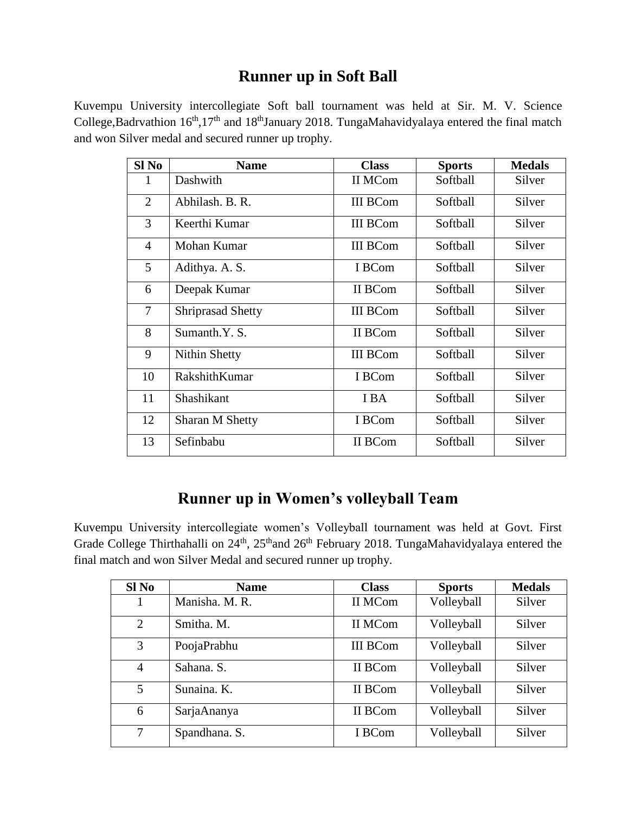## **Runner up in Soft Ball**

Kuvempu University intercollegiate Soft ball tournament was held at Sir. M. V. Science College,Badrvathion  $16<sup>th</sup>$ ,17<sup>th</sup> and 18<sup>th</sup>January 2018. TungaMahavidyalaya entered the final match and won Silver medal and secured runner up trophy.

| Sl <sub>No</sub> | <b>Name</b>              | <b>Class</b>    | <b>Sports</b> | <b>Medals</b> |
|------------------|--------------------------|-----------------|---------------|---------------|
| 1                | II MCom<br>Dashwith      |                 | Softball      | Silver        |
| $\overline{2}$   | Abhilash. B. R.          | <b>III BCom</b> | Softball      | Silver        |
| 3                | Keerthi Kumar            | <b>III BCom</b> | Softball      | Silver        |
| $\overline{4}$   | Mohan Kumar              | <b>III BCom</b> | Softball      | Silver        |
| 5                | Adithya. A. S.           | I BCom          | Softball      | Silver        |
| 6                | II BCom<br>Deepak Kumar  |                 | Softball      | Silver        |
| $\overline{7}$   | <b>Shriprasad Shetty</b> | <b>III BCom</b> | Softball      | Silver        |
| 8                | Sumanth.Y. S.            | II BCom         | Softball      | Silver        |
| 9                | Nithin Shetty            | <b>III BCom</b> | Softball      | Silver        |
| 10               | RakshithKumar            | I BCom          | Softball      | Silver        |
| 11               | Shashikant               | I BA            | Softball      | Silver        |
| 12               | <b>Sharan M Shetty</b>   | I BCom          | Softball      | Silver        |
| 13               | Sefinbabu                | II BCom         | Softball      | Silver        |

#### **Runner up in Women's volleyball Team**

Kuvempu University intercollegiate women's Volleyball tournament was held at Govt. First Grade College Thirthahalli on  $24<sup>th</sup>$ ,  $25<sup>th</sup>$  and  $26<sup>th</sup>$  February 2018. TungaMahavidyalaya entered the final match and won Silver Medal and secured runner up trophy.

| Sl No          | <b>Name</b>    | <b>Class</b>    | <b>Sports</b> | <b>Medals</b> |
|----------------|----------------|-----------------|---------------|---------------|
|                | Manisha. M. R. | II MCom         | Volleyball    | Silver        |
| 2              | Smitha. M.     | II MCom         | Volleyball    | Silver        |
| 3              | PoojaPrabhu    | <b>III BCom</b> | Volleyball    | Silver        |
| $\overline{4}$ | Sahana. S.     | II BCom         | Volleyball    | Silver        |
| 5              | Sunaina. K.    | II BCom         | Volleyball    | Silver        |
| 6              | SarjaAnanya    | II BCom         | Volleyball    | Silver        |
| 7              | Spandhana. S.  | I BCom          | Volleyball    | Silver        |